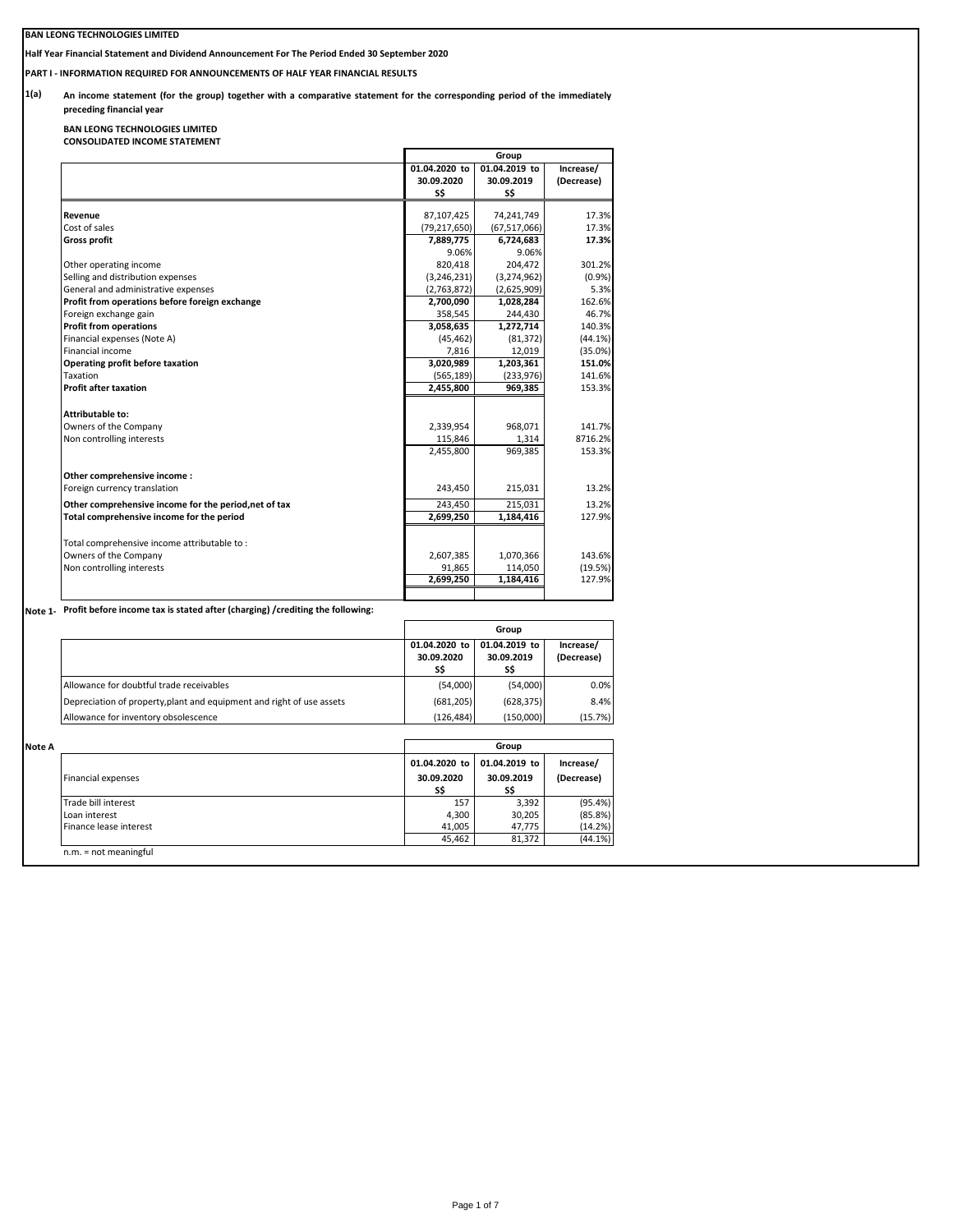# **BAN LEONG TECHNOLOGIES LIMITED**

**Half Year Financial Statement and Dividend Announcement For The Period Ended 30 September 2020**

**PART I - INFORMATION REQUIRED FOR ANNOUNCEMENTS OF HALF YEAR FINANCIAL RESULTS**

**1(a)**  An income statement (for the group) together with a comparative statement for the corresponding period of the immediately **preceding financial year**

**BAN LEONG TECHNOLOGIES LIMITED CONSOLIDATED INCOME STATEMENT**

|                                                       |                | Group          |            |  |  |
|-------------------------------------------------------|----------------|----------------|------------|--|--|
|                                                       | 01.04.2020 to  | 01.04.2019 to  | Increase/  |  |  |
|                                                       | 30.09.2020     | 30.09.2019     | (Decrease) |  |  |
|                                                       | S\$            | S\$            |            |  |  |
| Revenue                                               | 87,107,425     | 74,241,749     | 17.3%      |  |  |
| Cost of sales                                         | (79, 217, 650) | (67, 517, 066) | 17.3%      |  |  |
| <b>Gross profit</b>                                   | 7,889,775      | 6,724,683      | 17.3%      |  |  |
|                                                       | 9.06%          | 9.06%          |            |  |  |
| Other operating income                                | 820,418        | 204,472        | 301.2%     |  |  |
| Selling and distribution expenses                     | (3, 246, 231)  | (3,274,962)    | (0.9%      |  |  |
| General and administrative expenses                   | (2,763,872)    | (2,625,909)    | 5.3%       |  |  |
| Profit from operations before foreign exchange        | 2,700,090      | 1,028,284      | 162.6%     |  |  |
| Foreign exchange gain                                 | 358,545        | 244,430        | 46.7%      |  |  |
| <b>Profit from operations</b>                         | 3,058,635      | 1,272,714      | 140.3%     |  |  |
| Financial expenses (Note A)                           | (45, 462)      | (81, 372)      | (44.1%)    |  |  |
| Financial income                                      | 7,816          | 12,019         | (35.0%)    |  |  |
| Operating profit before taxation                      | 3,020,989      | 1,203,361      | 151.0%     |  |  |
| Taxation                                              | (565, 189)     | (233, 976)     | 141.6%     |  |  |
| <b>Profit after taxation</b>                          | 2,455,800      | 969,385        | 153.3%     |  |  |
| <b>Attributable to:</b>                               |                |                |            |  |  |
| Owners of the Company                                 | 2,339,954      | 968,071        | 141.7%     |  |  |
| Non controlling interests                             | 115,846        | 1,314          | 8716.2%    |  |  |
|                                                       | 2,455,800      | 969,385        | 153.3%     |  |  |
| Other comprehensive income:                           |                |                |            |  |  |
| Foreign currency translation                          | 243,450        | 215,031        | 13.2%      |  |  |
| Other comprehensive income for the period, net of tax | 243,450        | 215,031        | 13.2%      |  |  |
| Total comprehensive income for the period             | 2,699,250      | 1,184,416      | 127.9%     |  |  |
| Total comprehensive income attributable to:           |                |                |            |  |  |
| Owners of the Company                                 | 2,607,385      | 1,070,366      | 143.6%     |  |  |
| Non controlling interests                             | 91,865         | 114,050        | (19.5%)    |  |  |
|                                                       | 2,699,250      | 1,184,416      | 127.9%     |  |  |

**Note 1- Profit before income tax is stated after (charging) /crediting the following:**

|                                                                       |                                    | Group                              |                         |
|-----------------------------------------------------------------------|------------------------------------|------------------------------------|-------------------------|
|                                                                       | 01.04.2020 to<br>30.09.2020<br>S\$ | 01.04.2019 to<br>30.09.2019<br>S\$ | Increase/<br>(Decrease) |
| Allowance for doubtful trade receivables                              | (54,000)                           | (54,000)                           | 0.0%                    |
| Depreciation of property, plant and equipment and right of use assets | (681, 205)                         | (628.375)                          | 8.4%                    |
| Allowance for inventory obsolescence                                  | (126.484)                          | (150,000)                          | (15.7%)                 |

| 01.04.2020 to<br>30.09.2020 | 01.04.2019 to | Increase/  |
|-----------------------------|---------------|------------|
|                             |               |            |
|                             | 30.09.2019    | (Decrease) |
| S\$                         | S\$           |            |
| 157                         | 3.392         | (95.4%)    |
| 4.300                       | 30,205        | (85.8%)    |
| 41.005                      | 47.775        | (14.2%)    |
| 45.462                      | 81,372        | (44.1%)    |
|                             |               |            |
|                             |               |            |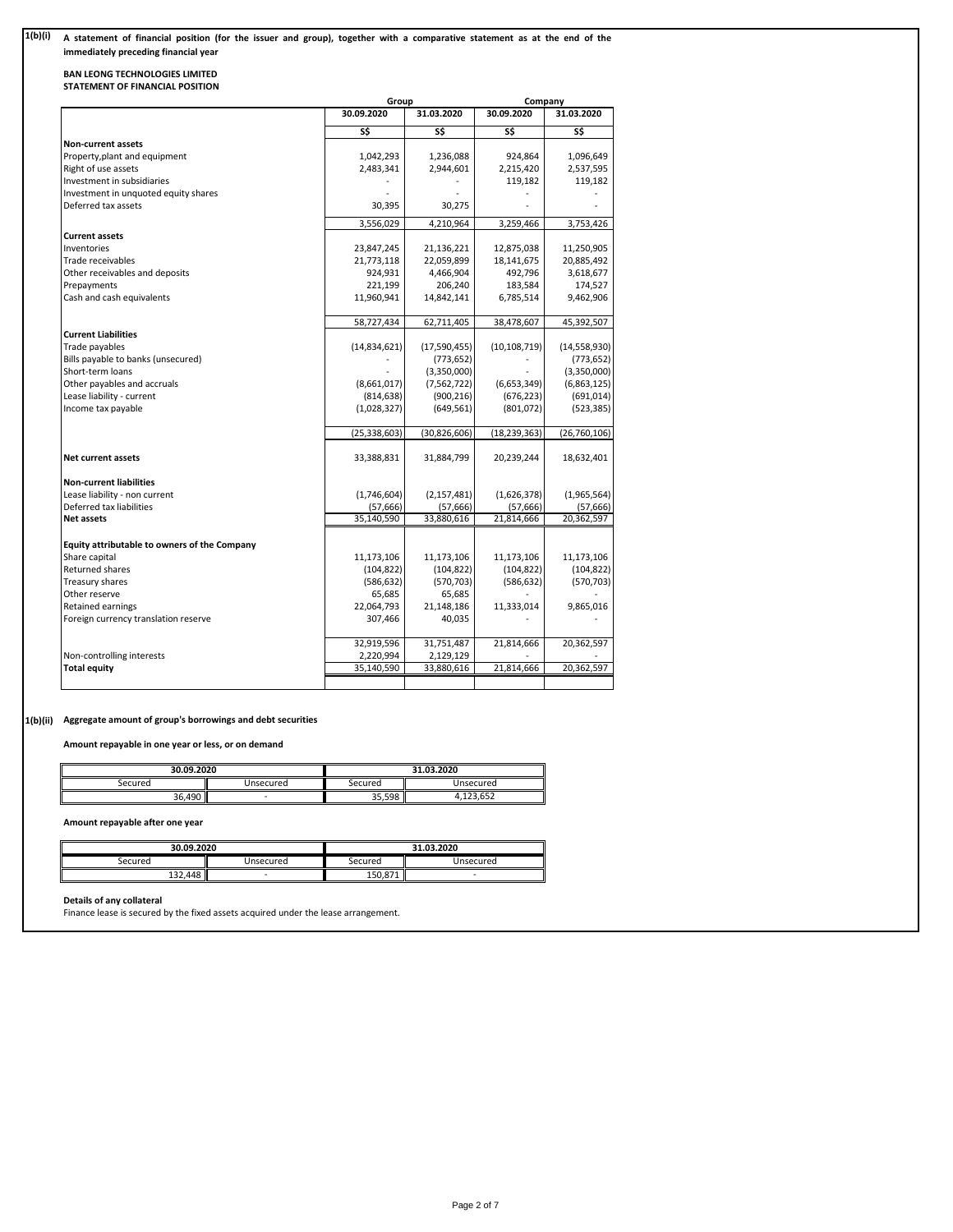#### **1(b)(i)** A statement of financial position (for the issuer and group), together with a comparative statement as at the end of the **immediately preceding financial year**

# **BAN LEONG TECHNOLOGIES LIMITED STATEMENT OF FINANCIAL POSITION**

|                                              | Group          |                | Company        |                |  |
|----------------------------------------------|----------------|----------------|----------------|----------------|--|
|                                              | 30.09.2020     | 31.03.2020     | 30.09.2020     | 31.03.2020     |  |
|                                              | S\$            | S\$            | S\$            | S\$            |  |
| <b>Non-current assets</b>                    |                |                |                |                |  |
| Property, plant and equipment                | 1,042,293      | 1,236,088      | 924,864        | 1,096,649      |  |
| Right of use assets                          | 2,483,341      | 2,944,601      | 2,215,420      | 2,537,595      |  |
| Investment in subsidiaries                   |                |                | 119,182        | 119,182        |  |
| Investment in unquoted equity shares         |                |                |                |                |  |
| Deferred tax assets                          | 30,395         | 30,275         |                |                |  |
|                                              | 3,556,029      | 4,210,964      | 3,259,466      | 3,753,426      |  |
| <b>Current assets</b>                        |                |                |                |                |  |
| Inventories                                  | 23,847,245     | 21,136,221     | 12,875,038     | 11,250,905     |  |
| Trade receivables                            | 21,773,118     | 22,059,899     | 18,141,675     | 20,885,492     |  |
| Other receivables and deposits               | 924,931        | 4,466,904      | 492,796        | 3,618,677      |  |
| Prepayments                                  | 221,199        | 206,240        | 183,584        | 174,527        |  |
| Cash and cash equivalents                    | 11,960,941     | 14,842,141     | 6,785,514      | 9,462,906      |  |
|                                              | 58,727,434     | 62,711,405     | 38,478,607     | 45,392,507     |  |
| <b>Current Liabilities</b>                   |                |                |                |                |  |
| Trade payables                               | (14,834,621)   | (17,590,455)   | (10, 108, 719) | (14, 558, 930) |  |
| Bills payable to banks (unsecured)           |                | (773, 652)     |                | (773, 652)     |  |
| Short-term loans                             |                | (3,350,000)    |                | (3,350,000)    |  |
| Other payables and accruals                  | (8,661,017)    | (7, 562, 722)  | (6,653,349)    | (6,863,125)    |  |
| Lease liability - current                    | (814, 638)     | (900, 216)     | (676, 223)     | (691, 014)     |  |
| Income tax payable                           | (1,028,327)    | (649, 561)     | (801, 072)     | (523, 385)     |  |
|                                              | (25, 338, 603) | (30, 826, 606) | (18, 239, 363) | (26, 760, 106) |  |
| <b>Net current assets</b>                    | 33,388,831     | 31,884,799     | 20,239,244     | 18,632,401     |  |
| <b>Non-current liabilities</b>               |                |                |                |                |  |
| Lease liability - non current                | (1,746,604)    | (2, 157, 481)  | (1,626,378)    | (1,965,564)    |  |
| Deferred tax liabilities                     | (57, 666)      | (57, 666)      | (57, 666)      | (57, 666)      |  |
| Net assets                                   | 35,140,590     | 33,880,616     | 21,814,666     | 20,362,597     |  |
|                                              |                |                |                |                |  |
| Equity attributable to owners of the Company |                |                |                |                |  |
| Share capital                                | 11,173,106     | 11,173,106     | 11,173,106     | 11,173,106     |  |
| Returned shares                              | (104, 822)     | (104, 822)     | (104, 822)     | (104, 822)     |  |
| Treasury shares                              | (586, 632)     | (570, 703)     | (586, 632)     | (570, 703)     |  |
| Other reserve                                | 65,685         | 65,685         |                |                |  |
| Retained earnings                            | 22,064,793     | 21,148,186     | 11,333,014     | 9,865,016      |  |
| Foreign currency translation reserve         | 307,466        | 40,035         |                |                |  |
|                                              | 32,919,596     | 31,751,487     | 21,814,666     | 20,362,597     |  |
| Non-controlling interests                    | 2,220,994      | 2,129,129      |                |                |  |
| <b>Total equity</b>                          | 35,140,590     | 33,880,616     | 21,814,666     | 20,362,597     |  |
|                                              |                |                |                |                |  |

## **1(b)(ii) Aggregate amount of group's borrowings and debt securities**

**Amount repayable in one year or less, or on demand**

| 30.09.2020 |           | 31.03.2020 |                        |  |
|------------|-----------|------------|------------------------|--|
| Secured    | Unsecured | Secured    | Jnsecured              |  |
| 36.490     | -         | 35,598     | CFT<br>ำว<br>1.123.0DZ |  |

**Amount repayable after one year**

| 30.09.2020 |           |         | 31.03.2020 |
|------------|-----------|---------|------------|
| Secured    | Jnsecured | Secured | Unsecured  |
| 132.448    | -         | 150.871 | -          |

**Details of any collateral**

Finance lease is secured by the fixed assets acquired under the lease arrangement.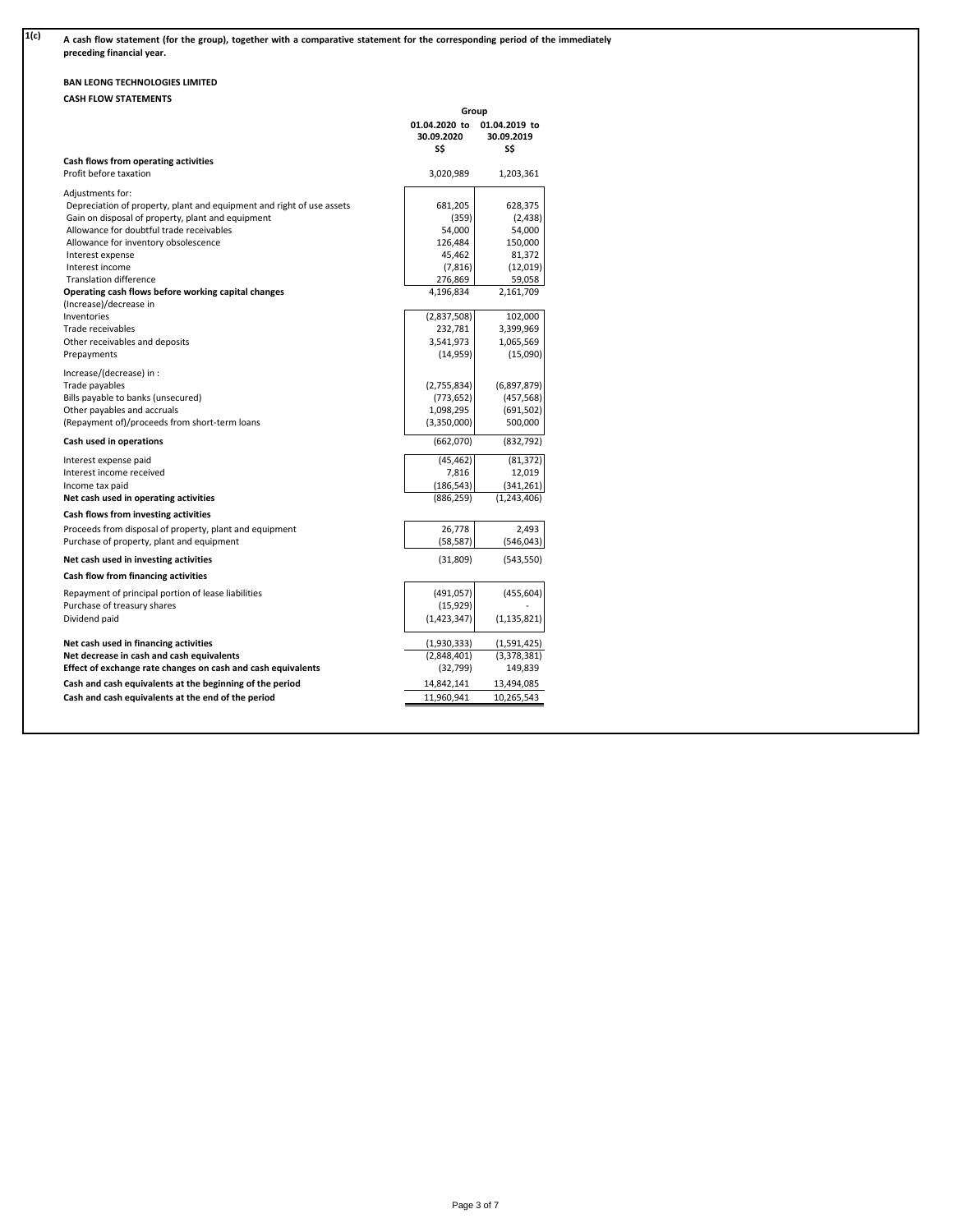| 1(c) | A cash flow statement (for the group), together with a comparative statement for the corresponding period of the immediately<br>preceding financial year. |
|------|-----------------------------------------------------------------------------------------------------------------------------------------------------------|
|      |                                                                                                                                                           |

# **BAN LEONG TECHNOLOGIES LIMITED**

|                                                                       | Group                              |                                    |
|-----------------------------------------------------------------------|------------------------------------|------------------------------------|
|                                                                       | 01.04.2020 to<br>30.09.2020<br>S\$ | 01.04.2019 to<br>30.09.2019<br>S\$ |
| Cash flows from operating activities                                  |                                    |                                    |
| Profit before taxation                                                | 3,020,989                          | 1,203,361                          |
| Adjustments for:                                                      |                                    |                                    |
| Depreciation of property, plant and equipment and right of use assets | 681,205                            | 628,375                            |
| Gain on disposal of property, plant and equipment                     | (359)                              | (2, 438)                           |
| Allowance for doubtful trade receivables                              | 54,000                             | 54,000                             |
| Allowance for inventory obsolescence                                  | 126,484                            | 150,000                            |
| Interest expense                                                      | 45,462                             | 81,372                             |
| Interest income                                                       | (7, 816)                           | (12, 019)                          |
| <b>Translation difference</b>                                         | 276,869                            | 59,058                             |
| Operating cash flows before working capital changes                   | 4,196,834                          | 2,161,709                          |
| (Increase)/decrease in                                                |                                    |                                    |
| Inventories                                                           | (2,837,508)                        | 102,000                            |
| Trade receivables                                                     | 232,781                            | 3,399,969                          |
| Other receivables and deposits                                        | 3,541,973                          | 1,065,569                          |
| Prepayments                                                           | (14, 959)                          | (15,090)                           |
| Increase/(decrease) in :                                              |                                    |                                    |
| Trade payables                                                        | (2,755,834)                        | (6,897,879)                        |
| Bills payable to banks (unsecured)                                    | (773, 652)                         | (457, 568)                         |
| Other payables and accruals                                           | 1,098,295                          | (691, 502)                         |
| (Repayment of)/proceeds from short-term loans                         | (3,350,000)                        | 500,000                            |
| Cash used in operations                                               | (662,070)                          | (832, 792)                         |
| Interest expense paid                                                 | (45, 462)                          | (81, 372)                          |
| Interest income received                                              | 7,816                              | 12,019                             |
| Income tax paid                                                       | (186, 543)                         | (341, 261)                         |
| Net cash used in operating activities                                 | (886, 259)                         | (1,243,406)                        |
| Cash flows from investing activities                                  |                                    |                                    |
| Proceeds from disposal of property, plant and equipment               | 26,778                             | 2,493                              |
| Purchase of property, plant and equipment                             | (58, 587)                          | (546, 043)                         |
| Net cash used in investing activities                                 | (31, 809)                          | (543, 550)                         |
| Cash flow from financing activities                                   |                                    |                                    |
| Repayment of principal portion of lease liabilities                   | (491, 057)                         | (455, 604)                         |
| Purchase of treasury shares                                           | (15, 929)                          |                                    |
| Dividend paid                                                         | (1, 423, 347)                      | (1, 135, 821)                      |
| Net cash used in financing activities                                 | (1,930,333)                        | (1,591,425)                        |
| Net decrease in cash and cash equivalents                             | (2,848,401)                        | (3,378,381)                        |
| Effect of exchange rate changes on cash and cash equivalents          | (32, 799)                          | 149,839                            |
| Cash and cash equivalents at the beginning of the period              | 14,842,141                         | 13,494,085                         |
| Cash and cash equivalents at the end of the period                    | 11,960,941                         | 10,265,543                         |
|                                                                       |                                    |                                    |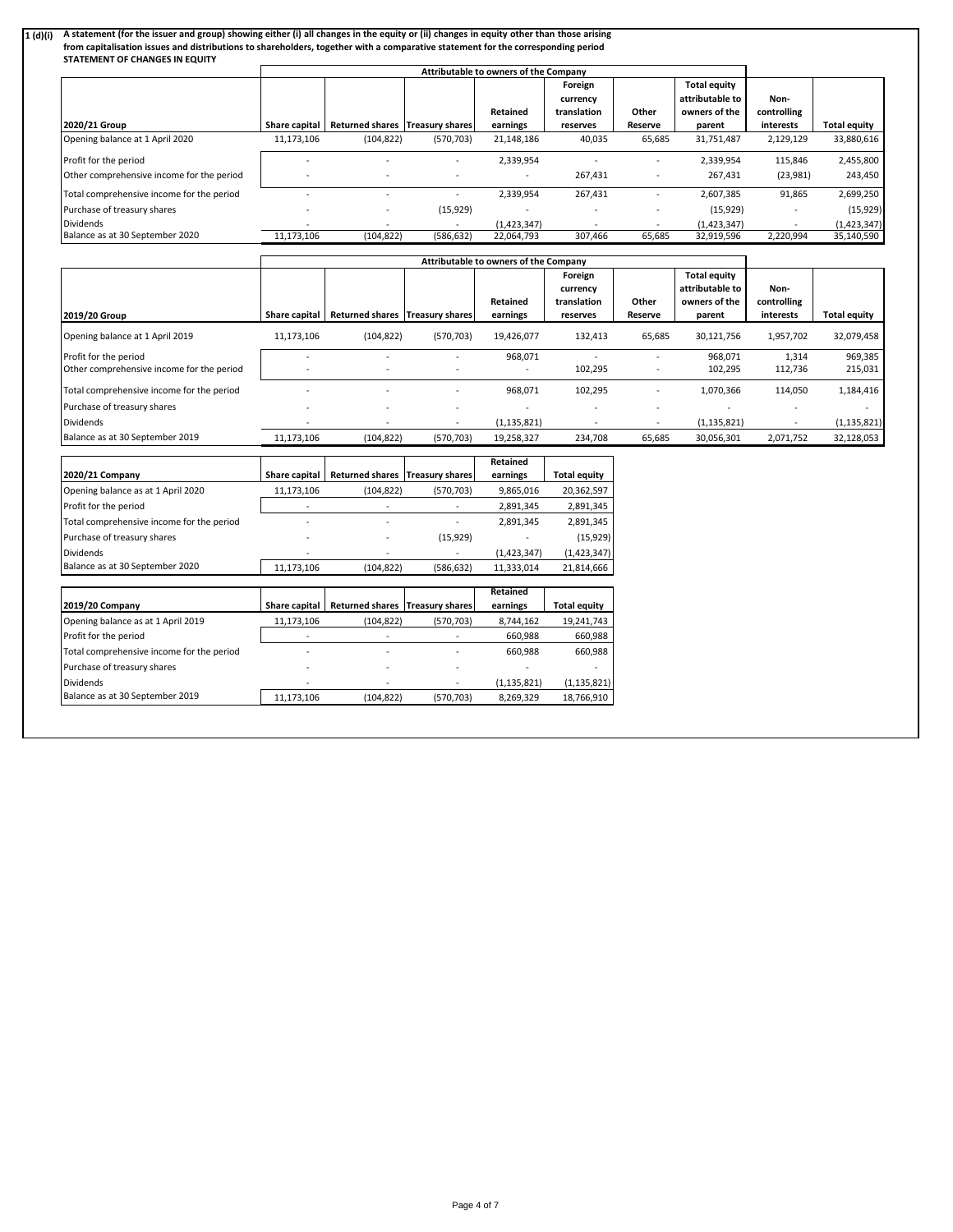### 1 (d)(i) A statement (for the issuer and group) showing either (i) all changes in the equity or (ii) changes in equity other than those arising

| from capitalisation issues and distributions to shareholders, together with a comparative statement for the corresponding period<br>STATEMENT OF CHANGES IN EQUITY |                                       |                                   |            |                 |                                    |         |                                                         |                     |                     |
|--------------------------------------------------------------------------------------------------------------------------------------------------------------------|---------------------------------------|-----------------------------------|------------|-----------------|------------------------------------|---------|---------------------------------------------------------|---------------------|---------------------|
|                                                                                                                                                                    | Attributable to owners of the Company |                                   |            |                 |                                    |         |                                                         |                     |                     |
|                                                                                                                                                                    |                                       |                                   |            | <b>Retained</b> | Foreign<br>currency<br>translation | Other   | <b>Total equity</b><br>attributable to<br>owners of the | Non-<br>controlling |                     |
| 2020/21 Group                                                                                                                                                      | Share capital                         | Returned shares   Treasury shares |            | earnings        | reserves                           | Reserve | parent                                                  | interests           | <b>Total equity</b> |
| Opening balance at 1 April 2020                                                                                                                                    | 11,173,106                            | (104, 822)                        | (570, 703) | 21,148,186      | 40,035                             | 65,685  | 31,751,487                                              | 2,129,129           | 33,880,616          |
| Profit for the period                                                                                                                                              |                                       |                                   |            | 2,339,954       |                                    |         | 2,339,954                                               | 115,846             | 2,455,800           |
| Other comprehensive income for the period                                                                                                                          |                                       |                                   |            |                 | 267,431                            |         | 267,431                                                 | (23,981)            | 243,450             |
| Total comprehensive income for the period                                                                                                                          |                                       |                                   |            | 2,339,954       | 267,431                            |         | 2,607,385                                               | 91,865              | 2,699,250           |
| Purchase of treasury shares                                                                                                                                        |                                       | -                                 | (15, 929)  |                 |                                    |         | (15, 929)                                               |                     | (15,929)            |
| <b>Dividends</b>                                                                                                                                                   |                                       |                                   |            | (1,423,347)     |                                    |         | (1,423,347)                                             |                     | (1,423,347)         |
| Balance as at 30 September 2020                                                                                                                                    | 11,173,106                            | (104, 822)                        | (586, 632) | 22,064,793      | 307,466                            | 65,685  | 32,919,596                                              | 2,220,994           | 35,140,590          |

|                                           | Attributable to owners of the Company |                                 |                          |                      |                                                |                          |                                                                   |                                  |                     |
|-------------------------------------------|---------------------------------------|---------------------------------|--------------------------|----------------------|------------------------------------------------|--------------------------|-------------------------------------------------------------------|----------------------------------|---------------------|
| 2019/20 Group                             | Share capital                         | Returned shares Treasury shares |                          | Retained<br>earnings | Foreign<br>currency<br>translation<br>reserves | Other<br>Reserve         | <b>Total equity</b><br>attributable to<br>owners of the<br>parent | Non-<br>controlling<br>interests | <b>Total equity</b> |
| Opening balance at 1 April 2019           | 11,173,106                            | (104, 822)                      | (570, 703)               | 19,426,077           | 132,413                                        | 65,685                   | 30,121,756                                                        | 1,957,702                        | 32,079,458          |
| Profit for the period                     |                                       |                                 |                          | 968,071              |                                                |                          | 968.071                                                           | 1,314                            | 969,385             |
| Other comprehensive income for the period | ٠                                     |                                 |                          | -                    | 102,295                                        |                          | 102,295                                                           | 112,736                          | 215,031             |
| Total comprehensive income for the period |                                       | $\overline{\phantom{0}}$        | $\overline{\phantom{a}}$ | 968,071              | 102,295                                        | $\overline{\phantom{a}}$ | 1,070,366                                                         | 114,050                          | 1,184,416           |
| Purchase of treasury shares               | -                                     |                                 |                          |                      |                                                |                          |                                                                   |                                  |                     |
| <b>Dividends</b>                          |                                       |                                 |                          | (1, 135, 821)        |                                                | $\overline{\phantom{a}}$ | (1, 135, 821)                                                     |                                  | (1, 135, 821)       |
| Balance as at 30 September 2019           | 11,173,106                            | (104, 822)                      | (570, 703)               | 19,258,327           | 234,708                                        | 65,685                   | 30,056,301                                                        | 2,071,752                        | 32,128,053          |

|                                           |                      |                                   |            | <b>Retained</b> |                     |
|-------------------------------------------|----------------------|-----------------------------------|------------|-----------------|---------------------|
| 2020/21 Company                           | Share capital        | Returned shares   Treasury shares |            | earnings        | <b>Total equity</b> |
| Opening balance as at 1 April 2020        | 11,173,106           | (104, 822)                        | (570, 703) | 9,865,016       | 20,362,597          |
| Profit for the period                     |                      |                                   |            | 2,891,345       | 2,891,345           |
| Total comprehensive income for the period |                      |                                   |            | 2,891,345       | 2,891,345           |
| Purchase of treasury shares               |                      |                                   | (15, 929)  |                 | (15, 929)           |
| <b>Dividends</b>                          |                      |                                   |            | (1,423,347)     | (1,423,347)         |
| Balance as at 30 September 2020           | 11,173,106           | (104, 822)                        | (586, 632) | 11,333,014      | 21,814,666          |
|                                           |                      |                                   |            |                 |                     |
|                                           |                      |                                   |            | <b>Retained</b> |                     |
| 2019/20 Company                           | <b>Share capital</b> | Returned shares Treasury shares   |            | earnings        | <b>Total equity</b> |
| Opening balance as at 1 April 2019        | 11,173,106           | (104, 822)                        | (570, 703) | 8,744,162       | 19,241,743          |
| Profit for the period                     |                      |                                   |            | 660,988         | 660,988             |
| Total comprehensive income for the period |                      |                                   |            | 660,988         | 660,988             |
| Purchase of treasury shares               |                      |                                   |            |                 |                     |
| <b>Dividends</b>                          |                      |                                   |            | (1, 135, 821)   | (1, 135, 821)       |
|                                           |                      |                                   |            |                 |                     |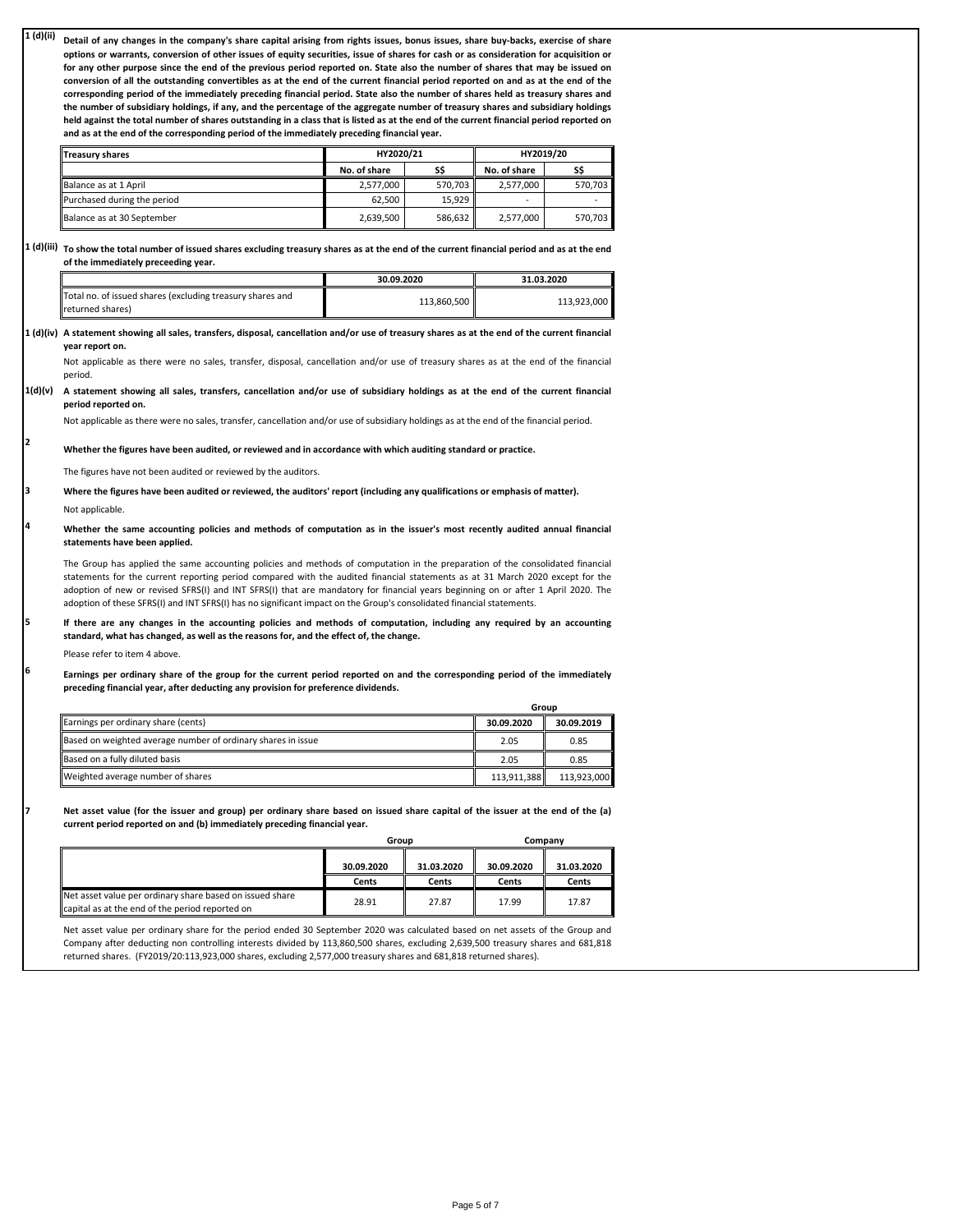**1 (d)(ii)** Detail of any changes in the company's share capital arising from rights issues, bonus issues, share buy-backs, exercise of share options or warrants, conversion of other issues of equity securities, issue of shares for cash or as consideration for acquisition or for any other purpose since the end of the previous period reported on. State also the number of shares that may be issued on conversion of all the outstanding convertibles as at the end of the current financial period reported on and as at the end of the corresponding period of the immediately preceding financial period. State also the number of shares held as treasury shares and the number of subsidiary holdings, if any, and the percentage of the aggregate number of treasury shares and subsidiary holdings held against the total number of shares outstanding in a class that is listed as at the end of the current financial period reported on **and as at the end of the corresponding period of the immediately preceding financial year.**

| <b>Treasury shares</b>      |              | HY2020/21 | HY2019/20    |         |  |
|-----------------------------|--------------|-----------|--------------|---------|--|
|                             | No. of share |           | No. of share | SŚ      |  |
| Balance as at 1 April       | 2.577.000    | 570.703   | 2.577.000    | 570.703 |  |
| Purchased during the period | 62.500       | 15.929    | -            |         |  |
| Balance as at 30 September  | 2,639,500    | 586.632   | 2,577,000    | 570.703 |  |

 $1$  (d)(iii)  $\,$  To show the total number of issued shares excluding treasury shares as at the end of the current financial period and as at the end **of the immediately preceeding year.**

|                                                                               | 30.09.2020  | 31.03.2020  |  |
|-------------------------------------------------------------------------------|-------------|-------------|--|
| Total no. of issued shares (excluding treasury shares and<br>returned shares) | 113.860.500 | 113.923.000 |  |

1 (d)(iv) A statement showing all sales, transfers, disposal, cancellation and/or use of treasury shares as at the end of the current financial **year report on.**

Not applicable as there were no sales, transfer, disposal, cancellation and/or use of treasury shares as at the end of the financial period.

1(d)(v) A statement showing all sales, transfers, cancellation and/or use of subsidiary holdings as at the end of the current financial **period reported on.**

Not applicable as there were no sales, transfer, cancellation and/or use of subsidiary holdings as at the end of the financial period.

**Whether the figures have been audited, or reviewed and in accordance with which auditing standard or practice.** 

The figures have not been audited or reviewed by the auditors.

**Where the figures have been audited or reviewed, the auditors' report (including any qualifications or emphasis of matter).**

Not applicable.

**2**

**3**

**4**

**5**

**6**

**7**

Whether the same accounting policies and methods of computation as in the issuer's most recently audited annual financial **statements have been applied.**

The Group has applied the same accounting policies and methods of computation in the preparation of the consolidated financial statements for the current reporting period compared with the audited financial statements as at 31 March 2020 except for the adoption of new or revised SFRS(I) and INT SFRS(I) that are mandatory for financial years beginning on or after 1 April 2020. The adoption of these SFRS(I) and INT SFRS(I) has no significant impact on the Group's consolidated financial statements.

If there are any changes in the accounting policies and methods of computation, including any required by an accounting **standard, what has changed, as well as the reasons for, and the effect of, the change.**

Please refer to item 4 above.

Earnings per ordinary share of the group for the current period reported on and the corresponding period of the immediately **preceding financial year, after deducting any provision for preference dividends.**

|                                                              | Group       |             |
|--------------------------------------------------------------|-------------|-------------|
| Earnings per ordinary share (cents)                          | 30.09.2020  | 30.09.2019  |
| Based on weighted average number of ordinary shares in issue | 2.05        | 0.85        |
| Based on a fully diluted basis                               | 2.05        | 0.85        |
| Weighted average number of shares                            | 113.911.388 | 113.923.000 |

Net asset value (for the issuer and group) per ordinary share based on issued share capital of the issuer at the end of the (a) **current period reported on and (b) immediately preceding financial year.**

|                                                                                                             | Group      |            | Company    |            |
|-------------------------------------------------------------------------------------------------------------|------------|------------|------------|------------|
|                                                                                                             | 30.09.2020 | 31.03.2020 | 30.09.2020 | 31.03.2020 |
|                                                                                                             | Cents      | Cents      | Cents      | Cents      |
| Net asset value per ordinary share based on issued share<br>capital as at the end of the period reported on | 28.91      | 27.87      | 17.99      | 17.87      |

Net asset value per ordinary share for the period ended 30 September 2020 was calculated based on net assets of the Group and Company after deducting non controlling interests divided by 113,860,500 shares, excluding 2,639,500 treasury shares and 681,818 returned shares. (FY2019/20:113,923,000 shares, excluding 2,577,000 treasury shares and 681,818 returned shares).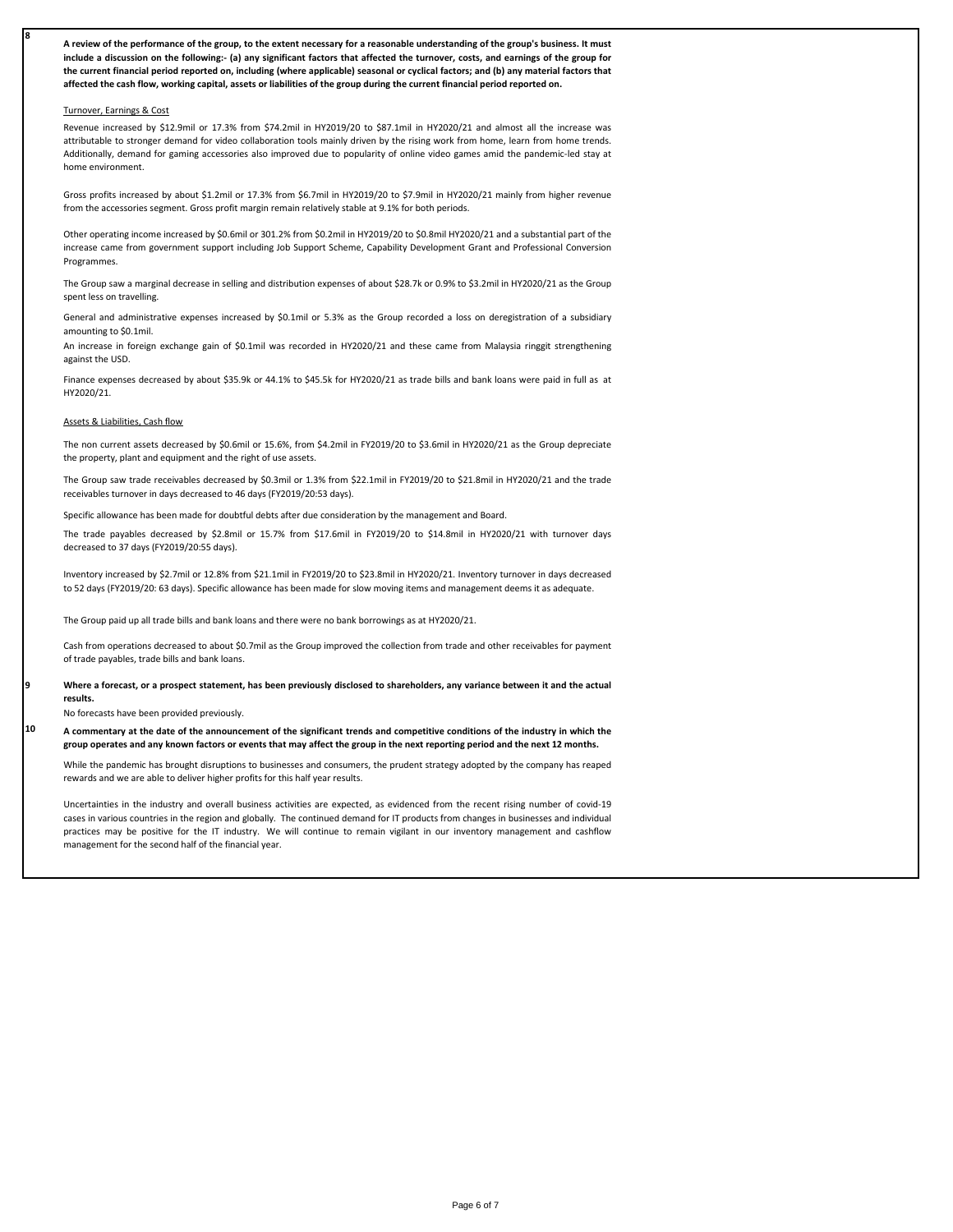A review of the performance of the group, to the extent necessary for a reasonable understanding of the group's business. It must include a discussion on the following:- (a) any significant factors that affected the turnover, costs, and earnings of the group for the current financial period reported on, including (where applicable) seasonal or cyclical factors; and (b) any material factors that **affected the cash flow, working capital, assets or liabilities of the group during the current financial period reported on.**

#### Turnover, Earnings & Cost

**8**

**9**

**10**

Revenue increased by \$12.9mil or 17.3% from \$74.2mil in HY2019/20 to \$87.1mil in HY2020/21 and almost all the increase was attributable to stronger demand for video collaboration tools mainly driven by the rising work from home, learn from home trends. Additionally, demand for gaming accessories also improved due to popularity of online video games amid the pandemic-led stay at home environment.

Gross profits increased by about \$1.2mil or 17.3% from \$6.7mil in HY2019/20 to \$7.9mil in HY2020/21 mainly from higher revenue from the accessories segment. Gross profit margin remain relatively stable at 9.1% for both periods.

Other operating income increased by \$0.6mil or 301.2% from \$0.2mil in HY2019/20 to \$0.8mil HY2020/21 and a substantial part of the increase came from government support including Job Support Scheme, Capability Development Grant and Professional Conversion Programmes.

The Group saw a marginal decrease in selling and distribution expenses of about \$28.7k or 0.9% to \$3.2mil in HY2020/21 as the Group spent less on travelling.

General and administrative expenses increased by \$0.1mil or 5.3% as the Group recorded a loss on deregistration of a subsidiary amounting to \$0.1mil.

An increase in foreign exchange gain of \$0.1mil was recorded in HY2020/21 and these came from Malaysia ringgit strengthening against the USD.

Finance expenses decreased by about \$35.9k or 44.1% to \$45.5k for HY2020/21 as trade bills and bank loans were paid in full as at HY2020/21.

#### Assets & Liabilities, Cash flow

The non current assets decreased by \$0.6mil or 15.6%, from \$4.2mil in FY2019/20 to \$3.6mil in HY2020/21 as the Group depreciate the property, plant and equipment and the right of use assets.

The Group saw trade receivables decreased by \$0.3mil or 1.3% from \$22.1mil in FY2019/20 to \$21.8mil in HY2020/21 and the trade receivables turnover in days decreased to 46 days (FY2019/20:53 days).

Specific allowance has been made for doubtful debts after due consideration by the management and Board.

The trade payables decreased by \$2.8mil or 15.7% from \$17.6mil in FY2019/20 to \$14.8mil in HY2020/21 with turnover days decreased to 37 days (FY2019/20:55 days).

Inventory increased by \$2.7mil or 12.8% from \$21.1mil in FY2019/20 to \$23.8mil in HY2020/21. Inventory turnover in days decreased to 52 days (FY2019/20: 63 days). Specific allowance has been made for slow moving items and management deems it as adequate.

The Group paid up all trade bills and bank loans and there were no bank borrowings as at HY2020/21.

Cash from operations decreased to about \$0.7mil as the Group improved the collection from trade and other receivables for payment of trade payables, trade bills and bank loans.

Where a forecast, or a prospect statement, has been previously disclosed to shareholders, any variance between it and the actual **results.**

No forecasts have been provided previously.

A commentary at the date of the announcement of the significant trends and competitive conditions of the industry in which the **group operates and any known factors or events that may affect the group in the next reporting period and the next 12 months.**

While the pandemic has brought disruptions to businesses and consumers, the prudent strategy adopted by the company has reaped rewards and we are able to deliver higher profits for this half year results.

Uncertainties in the industry and overall business activities are expected, as evidenced from the recent rising number of covid-19 cases in various countries in the region and globally. The continued demand for IT products from changes in businesses and individual practices may be positive for the IT industry. We will continue to remain vigilant in our inventory management and cashflow management for the second half of the financial year.